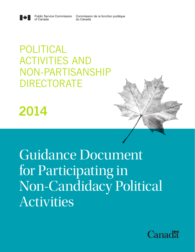Commission de la fonction publique du Canada



# POLITICAL ACTIVITIES AND NON-PARTISANSHIP DIRECTORATE

**Public Service Commission** 

of Canada

2014



Guidance Document for Participating in Non-Candidacy Political Activities

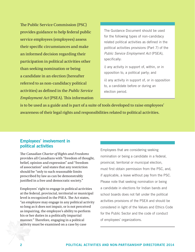The Public Service Commission (PSC) provides guidance to help federal public service employees (employees) assess their specific circumstances and make an informed decision regarding their participation in political activities other than seeking nomination or being a candidate in an election (hereafter referred to as non-candidacy political activities) as defined in the *[Public Service](http://laws-lois.justice.gc.ca/eng/acts/p-33.01/page-23.html#s-111.)  [Employment Act](http://laws-lois.justice.gc.ca/eng/acts/p-33.01/page-23.html#s-111.)* (PSEA). This information

The Guidance Document should be used for the following types of non-candidacy related political activities as defined in the political activities provisions (Part 7) of the *Public Service Employment Act* (PSEA), specifically:

i) any activity in support of, within, or in opposition to, a political party; and

ii) any activity in support of, or in opposition to, a candidate before or during an election period.

is to be used as a guide and is part of a [suite of tools](http://www.psc-cfp.gc.ca/plac-acpl/guides-eng.htm) developed to raise employees' awareness of their legal rights and responsibilities related to political activities.

## Employees' involvement in political activities

The *[Canadian Charter of Rights and Freedoms](http://laws-lois.justice.gc.ca/eng/const/page-15.html)* provides all Canadians with "freedom of thought, belief, opinion and expression" and "freedom of association" and states that any restriction should be "only to such reasonable limits prescribed by law as can be demonstrably justified in a free and democratic society."

Employees' right to engage in political activities at the federal, provincial, territorial or municipal level is recognized in the [PSEA.](http://laws-lois.justice.gc.ca/eng/acts/P-33.01/page-24.html#s-112.) The Act states, "an employee may engage in any political activity so long as it does not impair, or is not perceived as impairing, the employee's ability to perform his or her duties in a politically impartial manner." Therefore, engaging in a political activity must be examined on a case by case

Employees that are considering seeking nomination or being a candidate in a federal, provincial, territorial or municipal election, must first obtain permission from the PSC, and, if applicable, a leave without pay from the PSC. Please note that seeking nomination or being a candidate in elections for Indian bands and school boards does not fall under the political activities provisions of the PSEA and should be considered in light of the Values and Ethics Code for the Public Sector and the code of conduct of employees' organizations.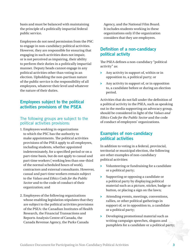basis and must be balanced with maintaining the principle of a politically impartial federal public service.

Employees do not need permission from the PSC to engage in non-candidacy political activities. However, they are responsible for ensuring that engaging in such activities does not impair, or is not perceived as impairing, their ability to perform their duties in a politically impartial manner. Deputy heads cannot engage in any political activities other than voting in an election. Upholding the non-partisan nature of the public service is the responsibility of all employees, whatever their level and whatever the nature of their duties.

# Employees subject to the political activities provisions of the PSEA

#### The following groups are subject to the political activities provisions:

- 1. Employees working in [organizations](http://www.psc-cfp.gc.ca/plac-acpl/org-eng.htm) to which the PSC has the authority to make appointments. The political activities provisions of the PSEA apply to all employees, including students, whether appointed indeterminately, for a specified period or on a part-time basis, but do not apply to casual and part-time workers ( working less than one-third of the normal scheduled hours of work), contractors and external consultants. However, casual and part-time workers remain subject to the *[Values and Ethics Code for the Public](http://www.tbs-sct.gc.ca/pol/doc-eng.aspx?section=text&id=25049)  [Sector](http://www.tbs-sct.gc.ca/pol/doc-eng.aspx?section=text&id=25049)* and to the code of conduct of their organization; and
- 2. Employees of the following organizations whose enabling legislation stipulates that they are subject to the political activities provisions of the PSEA: the Canadian Institutes of Health Research, the Financial Transactions and Reports Analysis Centre of Canada, the Canada Revenue Agency, the Parks Canada

Agency, and the National Film Board. It includes students working in these organizations only if the organization considers that they are employees.

## Definition of a non-candidacy political activity

The PSEA defines a non-candidacy "political activity" as:

- $\rightarrow$  Any activity in support of, within or in opposition to, a political party; or
- ▶ Any activity in support of, or in opposition to, a candidate before or during an election period.

Activities that do not fall under the definition of a political activity in the PSEA, such as speaking out in the media supporting an advocacy group, should be considered in light of the *Values and Ethics Code for the Public Sector* and the code of conduct of employees' organizations.

# Examples of non-candidacy political activities

In addition to voting in a federal, provincial, territorial or municipal election, the following are other examples of non-candidacy political activities:

- $\rightarrow$  Volunteering or fundraising for a candidate or a political party;
- ▶ Supporting or opposing a candidate or a political party by displaying political material such as a picture, sticker, badge or button, or placing a sign on the lawn;
- ▶ Attending events, meetings, conventions, rallies, or other political gatherings in support of, or in opposition to, a candidate or a political party;
- **EXECUTE:** Developing promotional material such as writing campaign speeches, slogans and pamphlets for a candidate or a political party;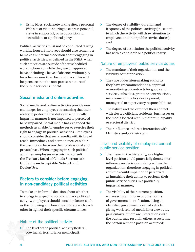ǃ Using blogs, social networking sites, a personal Web site or video sharing to express personal views in support of, or in opposition to, a candidate or a political party.

Political activities must not be conducted during working hours. Employees should also remember to make an informed decision about engaging in political activities, as defined in the PSEA, when such activities are outside of their scheduled working hours or while they are on approved leave, including a leave of absence without pay for other reasons than for candidacy. This will help ensure that the non-partisan nature of the public service is upheld.

# Social media and online activities

Social media and online activities provide new challenges for employees in ensuring that their ability to perform their duties in a politically impartial manner is not impaired or perceived to be impaired. Social media has expanded the methods available for employees to exercise their right to engage in political activities. Employees should consider that social media with its broad reach, immediacy and permanence, can blur the distinction between their professional and private lives. When engaging in such political activities, employees may wish to consult the Treasury Board of Canada Secretariat's **[Guideline on Acceptable Network and](http://www.tbs-sct.gc.ca/pol/doc-eng.aspx?id=27907)  [Device Use](http://www.tbs-sct.gc.ca/pol/doc-eng.aspx?id=27907)**.

#### Factors to consider before engaging in non-candidacy political activities

To make an informed decision about whether to engage in a specific non-candidacy political activity, employees should consider factors such as the following and how they interact with each other in light of their specific circumstances:

#### Nature of the political activity

The level of the political activity (federal, provincial, territorial or municipal);

- The degree of visibility, duration and frequency of the political activity (the extent to which the activity will draw attention to employees and their public service duties); and
- $\triangleright$  The degree of association the political activity has with a candidate or a political party.

#### Nature of employees' public service duties

- ▶ The mandate of their organization and the visibility of their position;
- $\rightarrow$  The type of decision-making authority they have (recommendations, approval or monitoring of contracts for goods and services, subsidies, grants or contributions, involvement in policy development, managerial or supervisory responsibilities);
- $\triangleright$  The nature and the extent of their contact with elected officials, residents, businesses or the media located within their municipality or electoral district;
- $\triangleright$  Their influence or direct interaction with Ministers and/or their staff.

#### Level and visibility of employees' current public service position

- $\rightarrow$  Their level in the hierarchy, as a higher level position could potentially denote more influence on decision-making within the organization; therefore engaging in political activities could impair or be perceived as impairing their ability to perform their public service duties in a politically impartial manner;
- $\blacktriangleright$  The visibility of their current position, e.g. wearing a uniform or other forms of government identification, using an identified government-owned vehicle, giving work-related media interviews etc., particularly if there are interactions with the public, may result in others associating the person with the position occupied;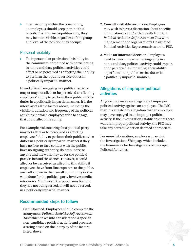a rating based on the interplay of the factors listed above.

1. **Get informed:** Employees should complete the anonymous *[Political Activities Self-Assessment](http://www2.psc-cfp.gc.ca/pat-oap/?lang=en)  [Tool](http://www2.psc-cfp.gc.ca/pat-oap/?lang=en)* which takes into consideration a specific non-candidacy political activity and provides

as employees should keep in mind that outside of a large metropolitan area, they may be more visible, regardless of the group and level of the position they occupy;

 $\rightarrow$  Their visibility within the community,

## Personal visibility

▶ Their personal or professional visibility in the community combined with participating in non-candidacy political activities could affect or be perceived as affecting their ability to perform their public service duties in a politically impartial manner.

In and of itself, engaging in a political activity may or may not affect or be perceived as affecting employees' ability to perform their public service duties in a politically impartial manner. It is the interplay of all the factors above, including the visibility, duration and frequency of the political activities in which employees wish to engage, that could affect this ability.

For example, volunteering for a political party may not affect or be perceived as affecting employees' ability to perform their public service duties in a politically impartial manner if they have no face-to-face contact with the public, have no signing authority, do not supervise anyone and the work they do for the political party is behind the scenes. However, it could affect or be perceived as affecting this ability if employees have front line exposure to the public, are well known in their small community or the work done for the political party involves media interviews. Members of the public may feel that they are not being served, or will not be served, in a politically impartial manner.

Recommended steps to follow:

#### 2. **Consult available resources:** Employees may wish to have a discussion about specific circumstances and/or the results from the *Political Activities Self-Assessment Tool* with management, the organization's [Designated](http://www.psc-cfp.gc.ca/plac-acpl/pol-cont-eng.htm)  [Political Activities Representatives](http://www.psc-cfp.gc.ca/plac-acpl/pol-cont-eng.htm) or the [PSC.](http://www.psc-cfp.gc.ca/plac-acpl/index-eng.htm)

3. **Make an informed decision:** Employees need to determine whether engaging in a non-candidacy political activity could impair, or be perceived as impairing, their ability to perform their public service duties in a politically impartial manner.

# Allegations of improper political activities

Anyone may make an allegation of improper political activity against an employee. The PSC may investigate any allegation that an employee may have engaged in an improper political activity. If the investigation establishes that there was an improper political activity, the PSC may take any corrective action deemed appropriate.

For more information, employees may visit the [Investigations](http://www.psc-cfp.gc.ca/inv-enq/pol-act/index-eng.htm) Web page which includes the [Framework for Investigations of Improper](http://www.psc-cfp.gc.ca/inv-enq/frame-cadre/poin-enpo-eng.htm)  [Political Activities](http://www.psc-cfp.gc.ca/inv-enq/frame-cadre/poin-enpo-eng.htm).